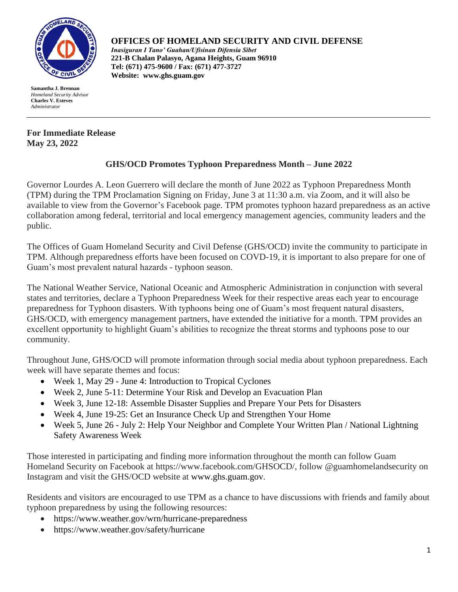

**Samantha J. Brennan** *Homeland Security Advisor*  **Charles V. Esteves** *Administrator*

## **For Immediate Release May 23, 2022**

## **OFFICES OF HOMELAND SECURITY AND CIVIL DEFENSE**

*Inasiguran I Tano' Guahan/Ufisinan Difensia Sibet* **221-B Chalan Palasyo, Agana Heights, Guam 96910 Tel: (671) 475-9600 / Fax: (671) 477-3727 Website: [www.ghs.guam.gov](http://www.ghs.guam.gov/)**

## **GHS/OCD Promotes Typhoon Preparedness Month – June 2022**

Governor Lourdes A. Leon Guerrero will declare the month of June 2022 as Typhoon Preparedness Month (TPM) during the TPM Proclamation Signing on Friday, June 3 at 11:30 a.m. via Zoom, and it will also be available to view from the Governor's Facebook page. TPM promotes typhoon hazard preparedness as an active collaboration among federal, territorial and local emergency management agencies, community leaders and the public.

The Offices of Guam Homeland Security and Civil Defense (GHS/OCD) invite the community to participate in TPM. Although preparedness efforts have been focused on COVD-19, it is important to also prepare for one of Guam's most prevalent natural hazards - typhoon season.

The National Weather Service, National Oceanic and Atmospheric Administration in conjunction with several states and territories, declare a Typhoon Preparedness Week for their respective areas each year to encourage preparedness for Typhoon disasters. With typhoons being one of Guam's most frequent natural disasters, GHS/OCD, with emergency management partners, have extended the initiative for a month. TPM provides an excellent opportunity to highlight Guam's abilities to recognize the threat storms and typhoons pose to our community.

Throughout June, GHS/OCD will promote information through social media about typhoon preparedness. Each week will have separate themes and focus:

- Week 1, May 29 June 4: Introduction to Tropical Cyclones
- Week 2, June 5-11: Determine Your Risk and Develop an Evacuation Plan
- Week 3, June 12-18: Assemble Disaster Supplies and Prepare Your Pets for Disasters
- Week 4, June 19-25: Get an Insurance Check Up and Strengthen Your Home
- Week 5, June 26 July 2: Help Your Neighbor and Complete Your Written Plan / National Lightning Safety Awareness Week

Those interested in participating and finding more information throughout the month can follow Guam Homeland Security on Facebook at https://www.facebook.com/GHSOCD/, follow @guamhomelandsecurity on Instagram and visit the GHS/OCD website at www.ghs.guam.gov.

Residents and visitors are encouraged to use TPM as a chance to have discussions with friends and family about typhoon preparedness by using the following resources:

- https://www.weather.gov/wrn/hurricane-preparedness
- https://www.weather.gov/safety/hurricane